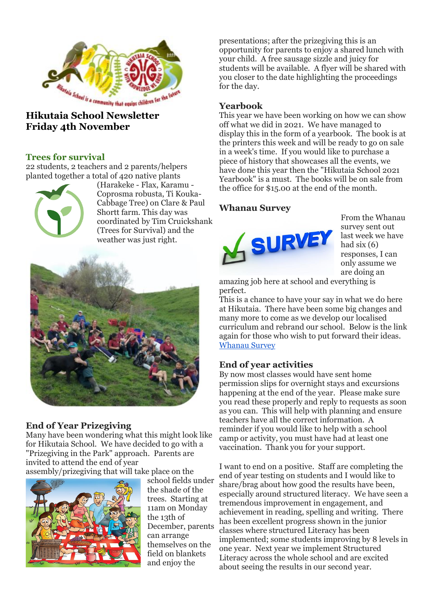

# **Friday 4th November**

## **Trees for survival**

22 students, 2 teachers and 2 parents/helpers planted together a total of 420 native plants



(Harakeke - Flax, Karamu - Coprosma robusta, Ti Kouka-Cabbage Tree) on Clare & Paul Shortt farm. This day was coordinated by Tim Cruickshank (Trees for Survival) and the weather was just right.



## **End of Year Prizegiving**

Many have been wondering what this might look like for Hikutaia School. We have decided to go with a "Prizegiving in the Park" approach. Parents are invited to attend the end of year assembly/prizegiving that will take place on the



school fields under the shade of the trees. Starting at 11am on Monday the 13th of December, parents can arrange themselves on the field on blankets and enjoy the

presentations; after the prizegiving this is an opportunity for parents to enjoy a shared lunch with your child. A free sausage sizzle and juicy for students will be available. A flyer will be shared with you closer to the date highlighting the proceedings for the day.

## **Yearbook**

This year we have been working on how we can show off what we did in 2021. We have managed to display this in the form of a yearbook. The book is at the printers this week and will be ready to go on sale in a week's time. If you would like to purchase a piece of history that showcases all the events, we have done this year then the "Hikutaia School 2021 Yearbook" is a must. The books will be on sale from the office for \$15.00 at the end of the month.

# **Whanau Survey**



From the Whanau survey sent out last week we have had six  $(6)$ responses, I can only assume we are doing an

amazing job here at school and everything is perfect.

This is a chance to have your say in what we do here at Hikutaia. There have been some big changes and many more to come as we develop our localised curriculum and rebrand our school. Below is the link again for those who wish to put forward their ideas. [Whanau Survey](https://docs.google.com/forms/d/e/1FAIpQLScuHOF1B4OGrS4515ItgSyrA2dBwwOwFhb_If8_scd3WIguJg/viewform?usp=pp_url)

## **End of year activities**

By now most classes would have sent home permission slips for overnight stays and excursions happening at the end of the year. Please make sure you read these properly and reply to requests as soon as you can. This will help with planning and ensure teachers have all the correct information. A reminder if you would like to help with a school camp or activity, you must have had at least one vaccination. Thank you for your support.

I want to end on a positive. Staff are completing the end of year testing on students and I would like to share/brag about how good the results have been, especially around structured literacy. We have seen a tremendous improvement in engagement, and achievement in reading, spelling and writing. There has been excellent progress shown in the junior classes where structured Literacy has been implemented; some students improving by 8 levels in one year. Next year we implement Structured Literacy across the whole school and are excited about seeing the results in our second year.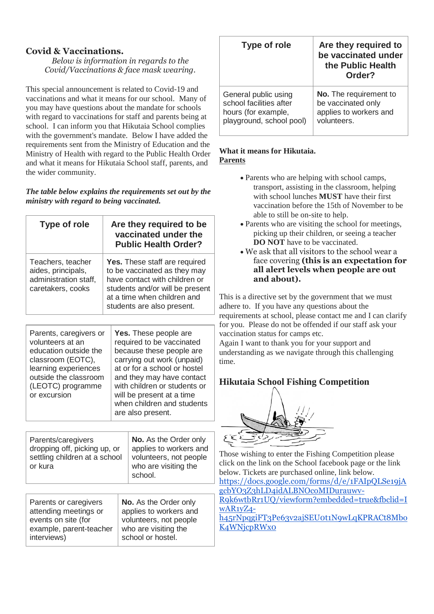# **Covid & Vaccinations.**

*Below is information in regards to the Covid/Vaccinations & face mask wearing.*

This special announcement is related to Covid-19 and vaccinations and what it means for our school. Many of you may have questions about the mandate for schools with regard to vaccinations for staff and parents being at school. I can inform you that Hikutaia School complies with the government's mandate. Below I have added the requirements sent from the Ministry of Education and the Ministry of Health with regard to the Public Health Order and what it means for Hikutaia School staff, parents, and the wider community.

*The table below explains the requirements set out by the ministry with regard to being vaccinated.*

| <b>Type of role</b>                                                                                                                                                            | Are they required to be<br>vaccinated under the<br><b>Public Health Order?</b>                                                                                                                 |                                                                                                                                                                                                                                                                                           |  |
|--------------------------------------------------------------------------------------------------------------------------------------------------------------------------------|------------------------------------------------------------------------------------------------------------------------------------------------------------------------------------------------|-------------------------------------------------------------------------------------------------------------------------------------------------------------------------------------------------------------------------------------------------------------------------------------------|--|
| Teachers, teacher<br>aides, principals,<br>administration staff,<br>caretakers, cooks                                                                                          | Yes. These staff are required<br>to be vaccinated as they may<br>have contact with children or<br>students and/or will be present<br>at a time when children and<br>students are also present. |                                                                                                                                                                                                                                                                                           |  |
| Parents, caregivers or<br>volunteers at an<br>education outside the<br>classroom (EOTC),<br>learning experiences<br>outside the classroom<br>(LEOTC) programme<br>or excursion |                                                                                                                                                                                                | Yes. These people are<br>required to be vaccinated<br>because these people are<br>carrying out work (unpaid)<br>at or for a school or hostel<br>and they may have contact<br>with children or students or<br>will be present at a time<br>when children and students<br>are also present. |  |
| Parents/caregivers<br>dropping off, picking up, or<br>settling children at a school<br>or kura                                                                                 |                                                                                                                                                                                                | No. As the Order only<br>applies to workers and<br>volunteers, not people<br>who are visiting the<br>school.                                                                                                                                                                              |  |
| Parents or caregivers<br>attending meetings or<br>events on site (for<br>example, parent-teacher<br>interviews)                                                                |                                                                                                                                                                                                | No. As the Order only<br>applies to workers and<br>volunteers, not people<br>who are visiting the<br>school or hostel.                                                                                                                                                                    |  |

| <b>Type of role</b>      | Are they required to<br>be vaccinated under<br>the Public Health<br>Order? |
|--------------------------|----------------------------------------------------------------------------|
| General public using     | No. The requirement to                                                     |
| school facilities after  | be vaccinated only                                                         |
| hours (for example,      | applies to workers and                                                     |
| playground, school pool) | volunteers.                                                                |

#### **What it means for Hikutaia. Parents**

- Parents who are helping with school camps, transport, assisting in the classroom, helping with school lunches **MUST** have their first vaccination before the 15th of November to be able to still be on-site to help.
- Parents who are visiting the school for meetings, picking up their children, or seeing a teacher **DO NOT** have to be vaccinated.
- We ask that all visitors to the school wear a face covering **(this is an expectation for all alert levels when people are out and about).**

This is a directive set by the government that we must adhere to. If you have any questions about the requirements at school, please contact me and I can clarify for you. Please do not be offended if our staff ask your vaccination status for camps etc.

Again I want to thank you for your support and understanding as we navigate through this challenging time.

# **Hikutaia School Fishing Competition**



Those wishing to enter the Fishing Competition please click on the link on the School facebook page or the link below. Tickets are purchased online, link below. [https://docs.google.com/forms/d/e/1FAIpQLSe19jA](https://docs.google.com/forms/d/e/1FAIpQLSe19jAgcbYO3Z3hLD4idALBNOcoMIDurauwv-R9k6wtbRr1UQ/viewform?embedded=true&fbclid=IwAR1yZ4-h45rNpqgiFT3Pe63v2ajSEU0t1N9wLqKPRACt8MboK4WNjcpRWx0) [gcbYO3Z3hLD4idALBNOcoMIDurauwv-](https://docs.google.com/forms/d/e/1FAIpQLSe19jAgcbYO3Z3hLD4idALBNOcoMIDurauwv-R9k6wtbRr1UQ/viewform?embedded=true&fbclid=IwAR1yZ4-h45rNpqgiFT3Pe63v2ajSEU0t1N9wLqKPRACt8MboK4WNjcpRWx0)[R9k6wtbRr1UQ/viewform?embedded=true&fbclid=I](https://docs.google.com/forms/d/e/1FAIpQLSe19jAgcbYO3Z3hLD4idALBNOcoMIDurauwv-R9k6wtbRr1UQ/viewform?embedded=true&fbclid=IwAR1yZ4-h45rNpqgiFT3Pe63v2ajSEU0t1N9wLqKPRACt8MboK4WNjcpRWx0) [wAR1yZ4](https://docs.google.com/forms/d/e/1FAIpQLSe19jAgcbYO3Z3hLD4idALBNOcoMIDurauwv-R9k6wtbRr1UQ/viewform?embedded=true&fbclid=IwAR1yZ4-h45rNpqgiFT3Pe63v2ajSEU0t1N9wLqKPRACt8MboK4WNjcpRWx0) [h45rNpqgiFT3Pe63v2ajSEU0t1N9wLqKPRACt8Mbo](https://docs.google.com/forms/d/e/1FAIpQLSe19jAgcbYO3Z3hLD4idALBNOcoMIDurauwv-R9k6wtbRr1UQ/viewform?embedded=true&fbclid=IwAR1yZ4-h45rNpqgiFT3Pe63v2ajSEU0t1N9wLqKPRACt8MboK4WNjcpRWx0) [K4WNjcpRWx0](https://docs.google.com/forms/d/e/1FAIpQLSe19jAgcbYO3Z3hLD4idALBNOcoMIDurauwv-R9k6wtbRr1UQ/viewform?embedded=true&fbclid=IwAR1yZ4-h45rNpqgiFT3Pe63v2ajSEU0t1N9wLqKPRACt8MboK4WNjcpRWx0)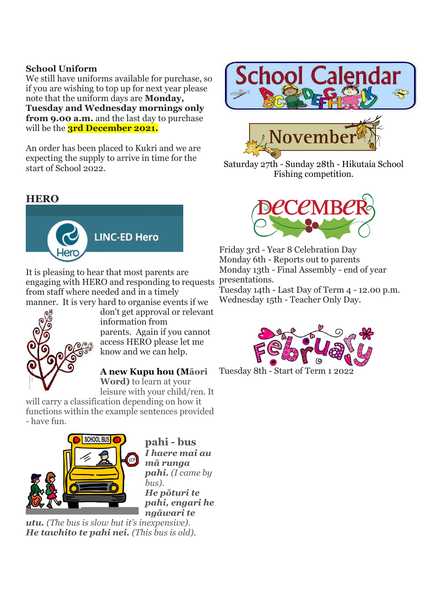# **School Uniform**

We still have uniforms available for purchase, so if you are wishing to top up for next year please note that the uniform days are **Monday, Tuesday and Wednesday mornings only from 9.00 a.m.** and the last day to purchase will be the **3rd December 2021.**

An order has been placed to Kukri and we are expecting the supply to arrive in time for the start of School 2022.

# **HERO**



It is pleasing to hear that most parents are engaging with HERO and responding to requests from staff where needed and in a timely manner. It is very hard to organise events if we



don't get approval or relevant information from parents. Again if you cannot access HERO please let me know and we can help.

#### **A new Kupu hou (Māori Word)** to learn at your

leisure with your child/ren. It

will carry a classification depending on how it functions within the example sentences provided - have fun.



**pahi - bus** *I haere mai au mā runga pahi. (I came by bus). He pōturi te pahi, engari he ngāwari te* 

*utu. (The bus is slow but it's inexpensive). He tawhito te pahi nei. (This bus is old).*



Saturday 27th - Sunday 28th - Hikutaia School Fishing competition.



Friday 3rd - Year 8 Celebration Day Monday 6th - Reports out to parents Monday 13th - Final Assembly - end of year presentations.

Tuesday 14th - Last Day of Term 4 - 12.00 p.m. Wednesday 15th - Teacher Only Day.



Tuesday 8th - Start of Term 1 2022